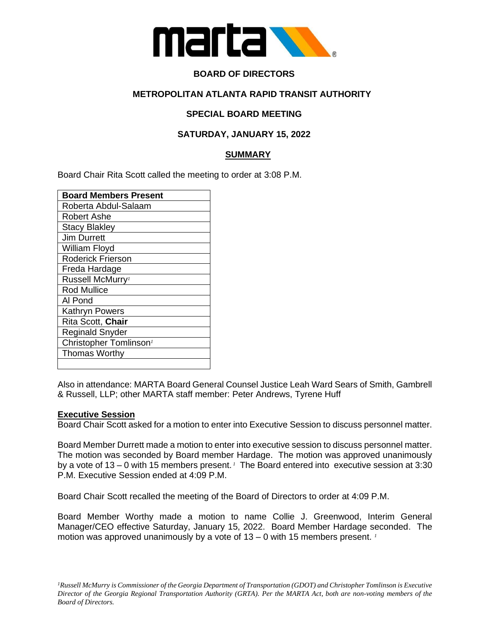

# **BOARD OF DIRECTORS**

## **METROPOLITAN ATLANTA RAPID TRANSIT AUTHORITY**

# **SPECIAL BOARD MEETING**

## **SATURDAY, JANUARY 15, 2022**

## **SUMMARY**

Board Chair Rita Scott called the meeting to order at 3:08 P.M.

| <b>Board Members Present</b>       |
|------------------------------------|
| Roberta Abdul-Salaam               |
| Robert Ashe                        |
| <b>Stacy Blakley</b>               |
| Jim Durrett                        |
| William Floyd                      |
| <b>Roderick Frierson</b>           |
| Freda Hardage                      |
| Russell McMurry <sup>1</sup>       |
| <b>Rod Mullice</b>                 |
| Al Pond                            |
| <b>Kathryn Powers</b>              |
| Rita Scott, Chair                  |
| <b>Reginald Snyder</b>             |
| Christopher Tomlinson <sup>1</sup> |
| <b>Thomas Worthy</b>               |
|                                    |

Also in attendance: MARTA Board General Counsel Justice Leah Ward Sears of Smith, Gambrell & Russell, LLP; other MARTA staff member: Peter Andrews, Tyrene Huff

#### **Executive Session**

Board Chair Scott asked for a motion to enter into Executive Session to discuss personnel matter.

Board Member Durrett made a motion to enter into executive session to discuss personnel matter. The motion was seconded by Board member Hardage. The motion was approved unanimously by a vote of 13 – 0 with 15 members present.<sup>1</sup> The Board entered into executive session at 3:30 P.M. Executive Session ended at 4:09 P.M.

Board Chair Scott recalled the meeting of the Board of Directors to order at 4:09 P.M.

Board Member Worthy made a motion to name Collie J. Greenwood, Interim General Manager/CEO effective Saturday, January 15, 2022. Board Member Hardage seconded. The motion was approved unanimously by a vote of 13 – 0 with 15 members present. *<sup>1</sup>*